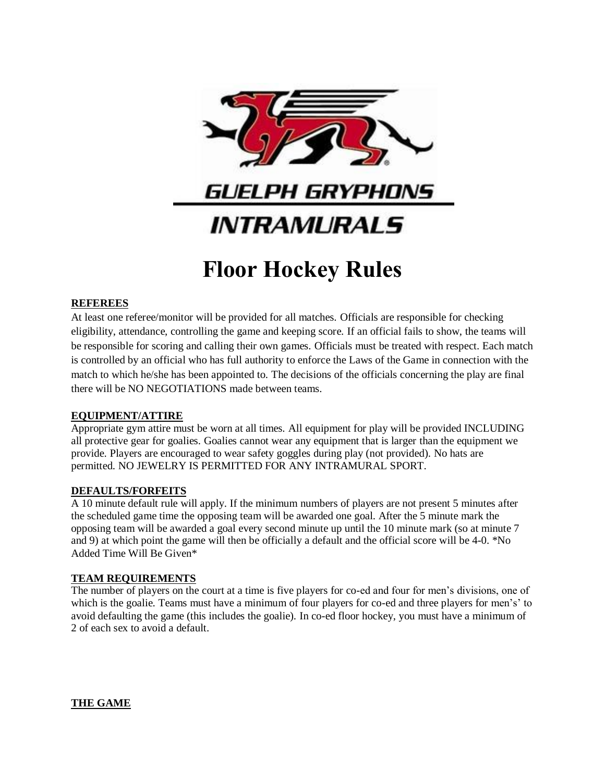

# **Floor Hockey Rules**

# **REFEREES**

At least one referee/monitor will be provided for all matches. Officials are responsible for checking eligibility, attendance, controlling the game and keeping score. If an official fails to show, the teams will be responsible for scoring and calling their own games. Officials must be treated with respect. Each match is controlled by an official who has full authority to enforce the Laws of the Game in connection with the match to which he/she has been appointed to. The decisions of the officials concerning the play are final there will be NO NEGOTIATIONS made between teams.

# **EQUIPMENT/ATTIRE**

Appropriate gym attire must be worn at all times. All equipment for play will be provided INCLUDING all protective gear for goalies. Goalies cannot wear any equipment that is larger than the equipment we provide. Players are encouraged to wear safety goggles during play (not provided). No hats are permitted. NO JEWELRY IS PERMITTED FOR ANY INTRAMURAL SPORT.

# **DEFAULTS/FORFEITS**

A 10 minute default rule will apply. If the minimum numbers of players are not present 5 minutes after the scheduled game time the opposing team will be awarded one goal. After the 5 minute mark the opposing team will be awarded a goal every second minute up until the 10 minute mark (so at minute 7 and 9) at which point the game will then be officially a default and the official score will be 4-0. \*No Added Time Will Be Given\*

# **TEAM REQUIREMENTS**

The number of players on the court at a time is five players for co-ed and four for men's divisions, one of which is the goalie. Teams must have a minimum of four players for co-ed and three players for men's' to avoid defaulting the game (this includes the goalie). In co-ed floor hockey, you must have a minimum of 2 of each sex to avoid a default.

**THE GAME**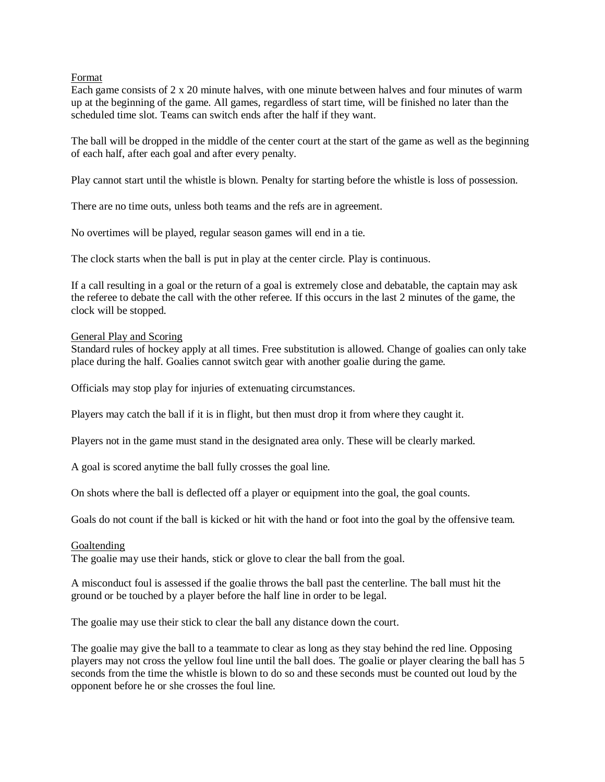Format

Each game consists of 2 x 20 minute halves, with one minute between halves and four minutes of warm up at the beginning of the game. All games, regardless of start time, will be finished no later than the scheduled time slot. Teams can switch ends after the half if they want.

The ball will be dropped in the middle of the center court at the start of the game as well as the beginning of each half, after each goal and after every penalty.

Play cannot start until the whistle is blown. Penalty for starting before the whistle is loss of possession.

There are no time outs, unless both teams and the refs are in agreement.

No overtimes will be played, regular season games will end in a tie.

The clock starts when the ball is put in play at the center circle. Play is continuous.

If a call resulting in a goal or the return of a goal is extremely close and debatable, the captain may ask the referee to debate the call with the other referee. If this occurs in the last 2 minutes of the game, the clock will be stopped.

#### General Play and Scoring

Standard rules of hockey apply at all times. Free substitution is allowed. Change of goalies can only take place during the half. Goalies cannot switch gear with another goalie during the game.

Officials may stop play for injuries of extenuating circumstances.

Players may catch the ball if it is in flight, but then must drop it from where they caught it.

Players not in the game must stand in the designated area only. These will be clearly marked.

A goal is scored anytime the ball fully crosses the goal line.

On shots where the ball is deflected off a player or equipment into the goal, the goal counts.

Goals do not count if the ball is kicked or hit with the hand or foot into the goal by the offensive team.

#### Goaltending

The goalie may use their hands, stick or glove to clear the ball from the goal.

A misconduct foul is assessed if the goalie throws the ball past the centerline. The ball must hit the ground or be touched by a player before the half line in order to be legal.

The goalie may use their stick to clear the ball any distance down the court.

The goalie may give the ball to a teammate to clear as long as they stay behind the red line. Opposing players may not cross the yellow foul line until the ball does. The goalie or player clearing the ball has 5 seconds from the time the whistle is blown to do so and these seconds must be counted out loud by the opponent before he or she crosses the foul line.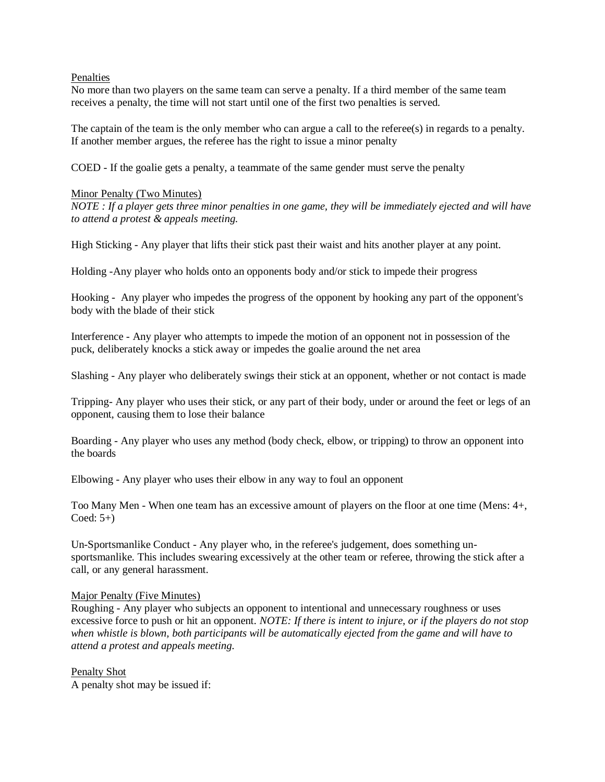Penalties

No more than two players on the same team can serve a penalty. If a third member of the same team receives a penalty, the time will not start until one of the first two penalties is served.

The captain of the team is the only member who can argue a call to the referee(s) in regards to a penalty. If another member argues, the referee has the right to issue a minor penalty

COED - If the goalie gets a penalty, a teammate of the same gender must serve the penalty

#### Minor Penalty (Two Minutes)

*NOTE : If a player gets three minor penalties in one game, they will be immediately ejected and will have to attend a protest & appeals meeting.* 

High Sticking - Any player that lifts their stick past their waist and hits another player at any point.

Holding -Any player who holds onto an opponents body and/or stick to impede their progress

Hooking - Any player who impedes the progress of the opponent by hooking any part of the opponent's body with the blade of their stick

Interference - Any player who attempts to impede the motion of an opponent not in possession of the puck, deliberately knocks a stick away or impedes the goalie around the net area

Slashing - Any player who deliberately swings their stick at an opponent, whether or not contact is made

Tripping- Any player who uses their stick, or any part of their body, under or around the feet or legs of an opponent, causing them to lose their balance

Boarding - Any player who uses any method (body check, elbow, or tripping) to throw an opponent into the boards

Elbowing - Any player who uses their elbow in any way to foul an opponent

Too Many Men - When one team has an excessive amount of players on the floor at one time (Mens: 4+,  $Coded: 5+)$ 

Un-Sportsmanlike Conduct - Any player who, in the referee's judgement, does something unsportsmanlike. This includes swearing excessively at the other team or referee, throwing the stick after a call, or any general harassment.

#### Major Penalty (Five Minutes)

Roughing - Any player who subjects an opponent to intentional and unnecessary roughness or uses excessive force to push or hit an opponent. *NOTE: If there is intent to injure, or if the players do not stop when whistle is blown, both participants will be automatically ejected from the game and will have to attend a protest and appeals meeting.*

Penalty Shot A penalty shot may be issued if: